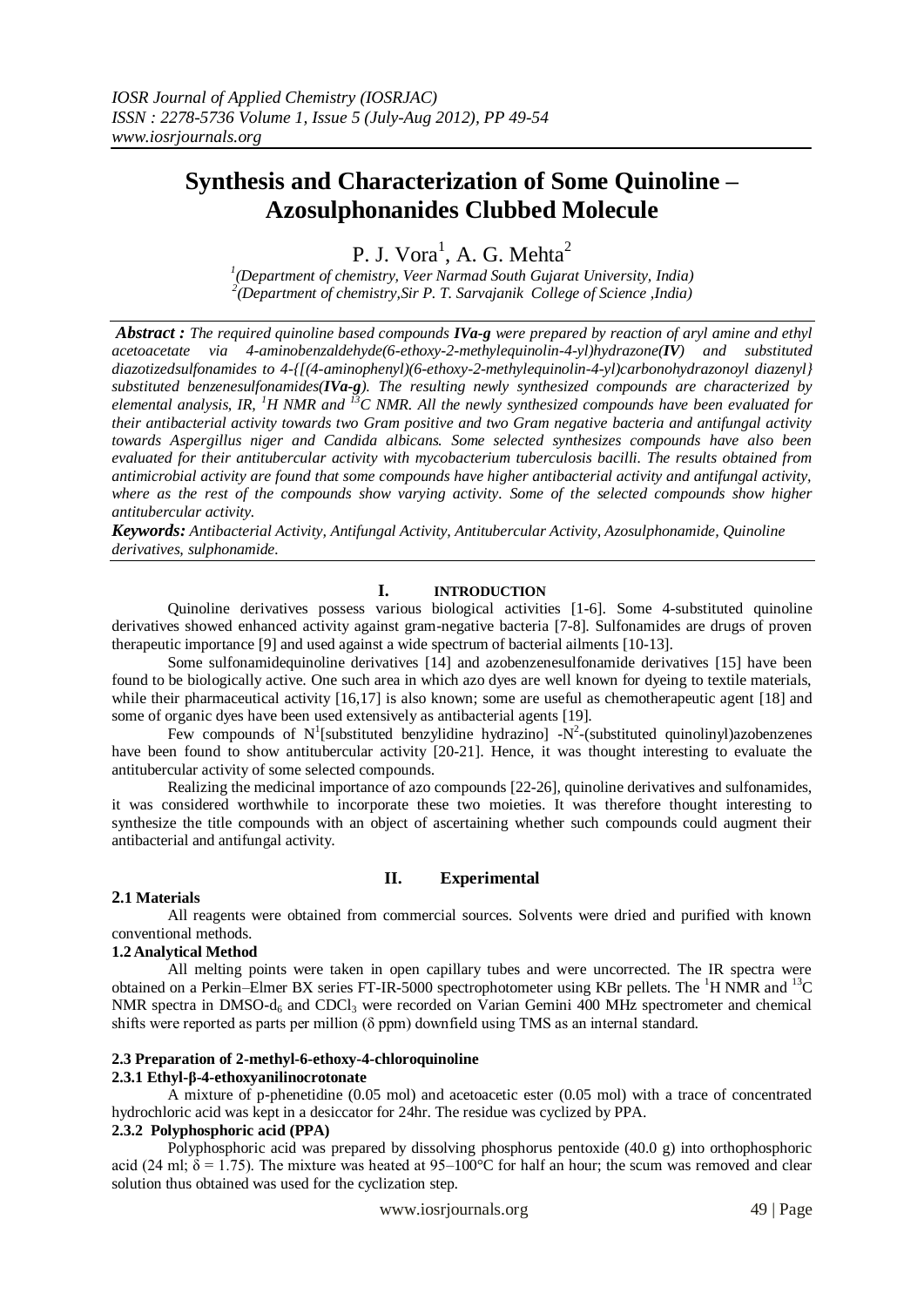# **Synthesis and Characterization of Some Quinoline – Azosulphonanides Clubbed Molecule**

P. J. Vora<sup>1</sup>, A. G. Mehta<sup>2</sup>

*1 (Department of chemistry, Veer Narmad South Gujarat University, India) 2 (Department of chemistry,Sir P. T. Sarvajanik College of Science ,India)*

*Abstract : The required quinoline based compounds IVa-g were prepared by reaction of aryl amine and ethyl acetoacetate via 4-aminobenzaldehyde(6-ethoxy-2-methylequinolin-4-yl)hydrazone(IV) and substituted diazotizedsulfonamides to 4-{[(4-aminophenyl)(6-ethoxy-2-methylequinolin-4-yl)carbonohydrazonoyl diazenyl} substituted benzenesulfonamides(IVa-g). The resulting newly synthesized compounds are characterized by elemental analysis, IR, <sup>1</sup>H NMR and <sup>13</sup>C NMR. All the newly synthesized compounds have been evaluated for their antibacterial activity towards two Gram positive and two Gram negative bacteria and antifungal activity towards Aspergillus niger and Candida albicans. Some selected synthesizes compounds have also been evaluated for their antitubercular activity with mycobacterium tuberculosis bacilli. The results obtained from antimicrobial activity are found that some compounds have higher antibacterial activity and antifungal activity, where as the rest of the compounds show varying activity. Some of the selected compounds show higher antitubercular activity.*

*Keywords: Antibacterial Activity, Antifungal Activity, Antitubercular Activity, Azosulphonamide, Quinoline derivatives, sulphonamide.*

#### **I. INTRODUCTION**

Quinoline derivatives possess various biological activities [1-6]. Some 4-substituted quinoline derivatives showed enhanced activity against gram-negative bacteria [7-8]. Sulfonamides are drugs of proven therapeutic importance [9] and used against a wide spectrum of bacterial ailments [10-13].

Some sulfonamidequinoline derivatives [14] and azobenzenesulfonamide derivatives [15] have been found to be biologically active. One such area in which azo dyes are well known for dyeing to textile materials, while their pharmaceutical activity [16,17] is also known; some are useful as chemotherapeutic agent [18] and some of organic dyes have been used extensively as antibacterial agents [19].

Few compounds of  $N^1$ [substituted benzylidine hydrazino] - $N^2$ -(substituted quinolinyl)azobenzenes have been found to show antitubercular activity [20-21]. Hence, it was thought interesting to evaluate the antitubercular activity of some selected compounds.

Realizing the medicinal importance of azo compounds [22-26], quinoline derivatives and sulfonamides, it was considered worthwhile to incorporate these two moieties. It was therefore thought interesting to synthesize the title compounds with an object of ascertaining whether such compounds could augment their antibacterial and antifungal activity.

## **II. Experimental**

## **2.1 Materials**

All reagents were obtained from commercial sources. Solvents were dried and purified with known conventional methods.

## **1.2Analytical Method**

All melting points were taken in open capillary tubes and were uncorrected. The IR spectra were obtained on a Perkin–Elmer BX series FT-IR-5000 spectrophotometer using KBr pellets. The <sup>1</sup>H NMR and <sup>13</sup>C NMR spectra in DMSO- $d_6$  and CDCl<sub>3</sub> were recorded on Varian Gemini 400 MHz spectrometer and chemical shifts were reported as parts per million  $(\delta$  ppm) downfield using TMS as an internal standard.

# **2.3 Preparation of 2-methyl-6-ethoxy-4-chloroquinoline**

# **2.3.1 Ethyl-β-4-ethoxyanilinocrotonate**

A mixture of p-phenetidine (0.05 mol) and acetoacetic ester (0.05 mol) with a trace of concentrated hydrochloric acid was kept in a desiccator for 24hr. The residue was cyclized by PPA.

# **2.3.2 Polyphosphoric acid (PPA)**

Polyphosphoric acid was prepared by dissolving phosphorus pentoxide (40.0 g) into orthophosphoric acid (24 ml;  $\delta = 1.75$ ). The mixture was heated at 95–100°C for half an hour; the scum was removed and clear solution thus obtained was used for the cyclization step.

www.iosrjournals.org 49 | Page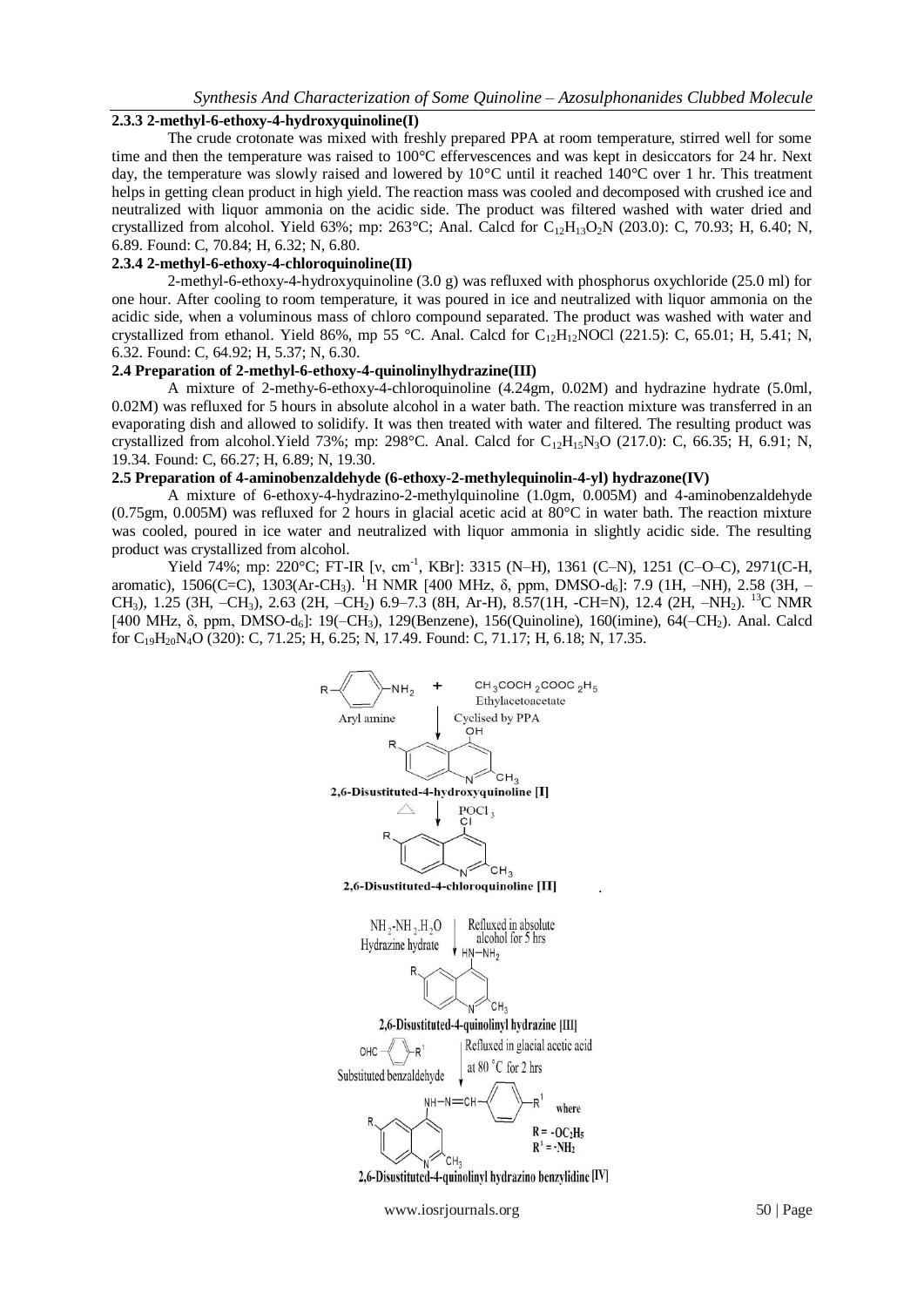#### **2.3.3 2-methyl-6-ethoxy-4-hydroxyquinoline(I)**

The crude crotonate was mixed with freshly prepared PPA at room temperature, stirred well for some time and then the temperature was raised to 100°C effervescences and was kept in desiccators for 24 hr. Next day, the temperature was slowly raised and lowered by 10°C until it reached 140°C over 1 hr. This treatment helps in getting clean product in high yield. The reaction mass was cooled and decomposed with crushed ice and neutralized with liquor ammonia on the acidic side. The product was filtered washed with water dried and crystallized from alcohol. Yield 63%; mp: 263°C; Anal. Calcd for  $C_{12}H_{13}O_2N$  (203.0): C, 70.93; H, 6.40; N, 6.89. Found: C, 70.84; H, 6.32; N, 6.80.

# **2.3.4 2-methyl-6-ethoxy-4-chloroquinoline(II)**

2-methyl-6-ethoxy-4-hydroxyquinoline  $(3.0 \text{ g})$  was refluxed with phosphorus oxychloride (25.0 ml) for one hour. After cooling to room temperature, it was poured in ice and neutralized with liquor ammonia on the acidic side, when a voluminous mass of chloro compound separated. The product was washed with water and crystallized from ethanol. Yield 86%, mp 55 °C. Anal. Calcd for  $C_{12}H_{12}NOCl$  (221.5): C, 65.01; H, 5.41; N, 6.32. Found: C, 64.92; H, 5.37; N, 6.30.

# **2.4 Preparation of 2-methyl-6-ethoxy-4-quinolinylhydrazine(III)**

A mixture of 2-methy-6-ethoxy-4-chloroquinoline (4.24gm, 0.02M) and hydrazine hydrate (5.0ml, 0.02M) was refluxed for 5 hours in absolute alcohol in a water bath. The reaction mixture was transferred in an evaporating dish and allowed to solidify. It was then treated with water and filtered. The resulting product was crystallized from alcohol.Yield 73%; mp: 298°C. Anal. Calcd for  $C_{12}H_{15}N_3O$  (217.0): C, 66.35; H, 6.91; N, 19.34. Found: C, 66.27; H, 6.89; N, 19.30.

## **2.5 Preparation of 4-aminobenzaldehyde (6-ethoxy-2-methylequinolin-4-yl) hydrazone(IV)**

A mixture of 6-ethoxy-4-hydrazino-2-methylquinoline (1.0gm, 0.005M) and 4-aminobenzaldehyde (0.75gm, 0.005M) was refluxed for 2 hours in glacial acetic acid at 80°C in water bath. The reaction mixture was cooled, poured in ice water and neutralized with liquor ammonia in slightly acidic side. The resulting product was crystallized from alcohol.

Yield 74%; mp: 220°C; FT-IR [v, cm<sup>-1</sup>, KBr]: 3315 (N-H), 1361 (C-N), 1251 (C-O-C), 2971(C-H, aromatic), 1506(C=C), 1303(Ar-CH<sub>3</sub>). <sup>1</sup>H NMR [400 MHz, δ, ppm, DMSO-d<sub>6</sub>]: 7.9 (1H, -NH), 2.58 (3H, -CH3), 1.25 (3H, –CH3), 2.63 (2H, –CH2) 6.9–7.3 (8H, Ar-H), 8.57(1H, -CH=N), 12.4 (2H, –NH2). <sup>13</sup>C NMR [400 MHz, δ, ppm, DMSO-d<sub>6</sub>]: 19(-CH<sub>3</sub>), 129(Benzene), 156(Quinoline), 160(imine), 64(-CH<sub>2</sub>). Anal. Calcd for C<sub>19</sub>H<sub>20</sub>N<sub>4</sub>O (320): C, 71.25; H, 6.25; N, 17.49. Found: C, 71.17; H, 6.18; N, 17.35.



www.iosrjournals.org 50 | Page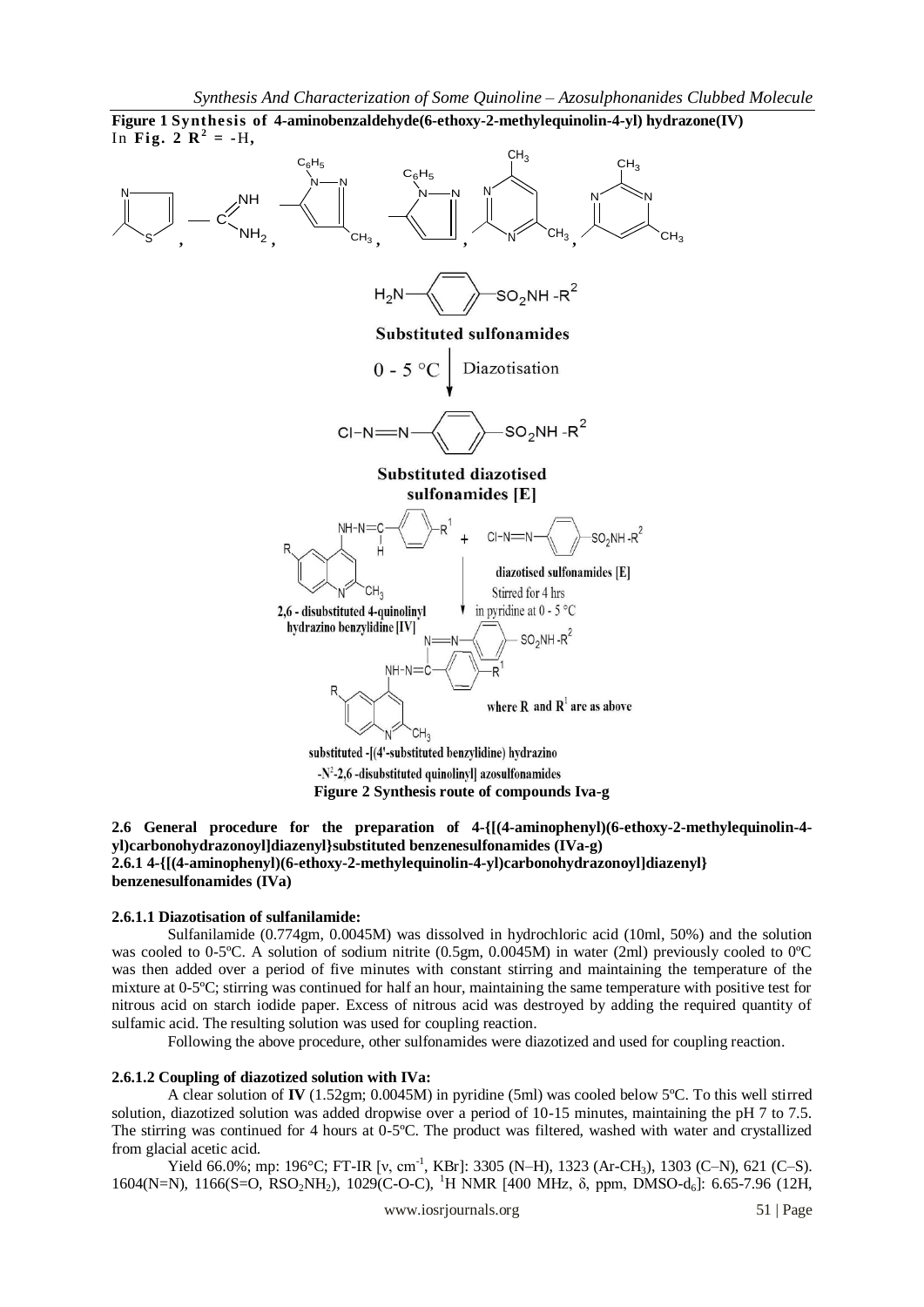

# **2.6 General procedure for the preparation of 4-{[(4-aminophenyl)(6-ethoxy-2-methylequinolin-4 yl)carbonohydrazonoyl]diazenyl}substituted benzenesulfonamides (IVa-g) 2.6.1 4-{[(4-aminophenyl)(6-ethoxy-2-methylequinolin-4-yl)carbonohydrazonoyl]diazenyl} benzenesulfonamides (IVa)**

## **2.6.1.1 Diazotisation of sulfanilamide:**

Sulfanilamide (0.774gm, 0.0045M) was dissolved in hydrochloric acid (10ml, 50%) and the solution was cooled to 0-5<sup>o</sup>C. A solution of sodium nitrite (0.5gm, 0.0045M) in water (2ml) previously cooled to 0<sup>o</sup>C was then added over a period of five minutes with constant stirring and maintaining the temperature of the mixture at 0-5ºC; stirring was continued for half an hour, maintaining the same temperature with positive test for nitrous acid on starch iodide paper. Excess of nitrous acid was destroyed by adding the required quantity of sulfamic acid. The resulting solution was used for coupling reaction.

Following the above procedure, other sulfonamides were diazotized and used for coupling reaction.

#### **2.6.1.2 Coupling of diazotized solution with IVa:**

A clear solution of **IV** (1.52gm; 0.0045M) in pyridine (5ml) was cooled below 5ºC. To this well stirred solution, diazotized solution was added dropwise over a period of 10-15 minutes, maintaining the pH 7 to 7.5. The stirring was continued for 4 hours at 0-5ºC. The product was filtered, washed with water and crystallized from glacial acetic acid.

Yield 66.0%; mp: 196°C; FT-IR [v, cm<sup>-1</sup>, KBr]: 3305 (N-H), 1323 (Ar-CH<sub>3</sub>), 1303 (C-N), 621 (C-S). 1604(N=N), 1166(S=O, RSO<sub>2</sub>NH<sub>2</sub>), 1029(C-O-C), <sup>1</sup>H NMR [400 MHz, δ, ppm, DMSO-d<sub>6</sub>]: 6.65-7.96 (12H,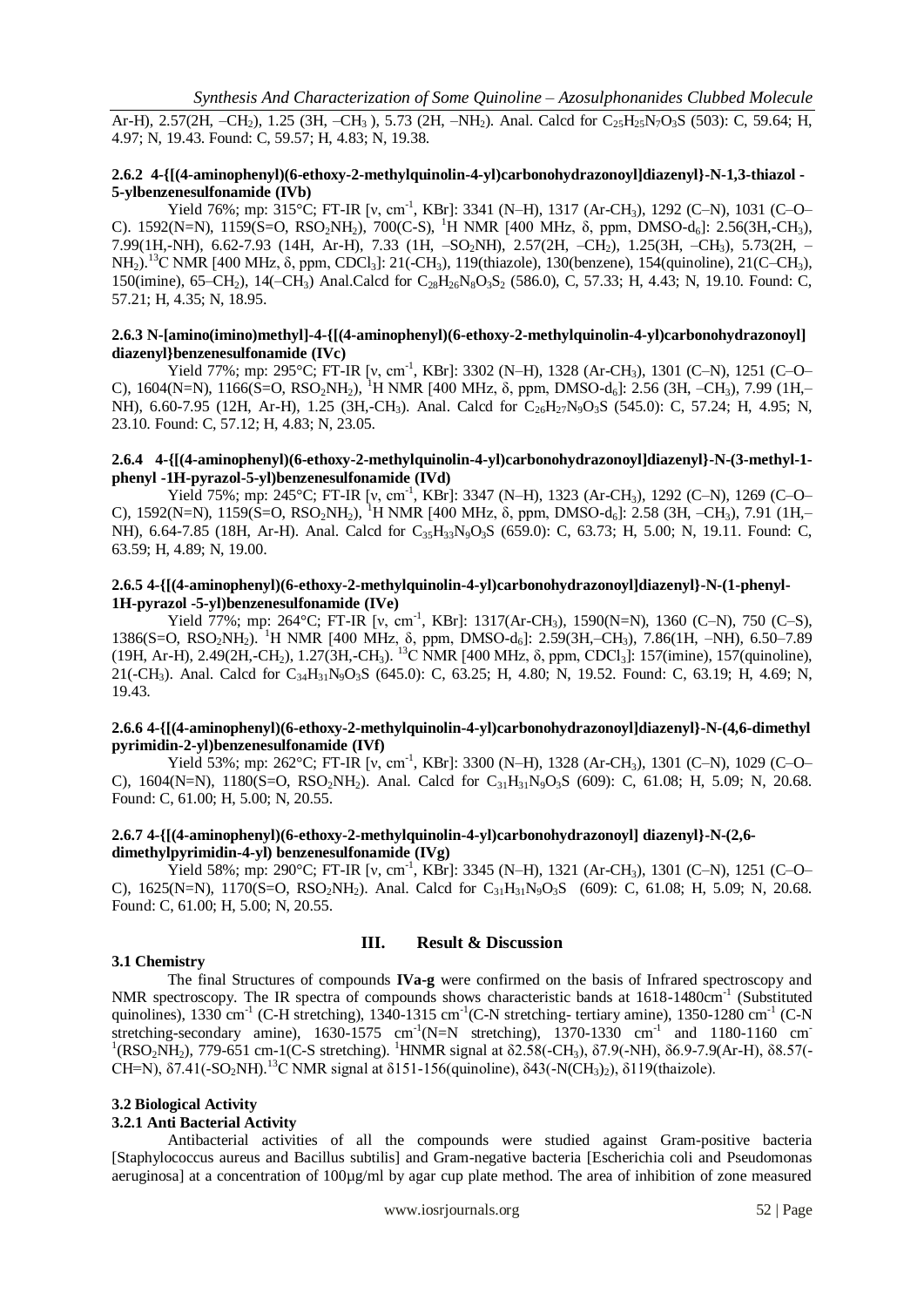Ar-H), 2.57(2H, –CH<sub>2</sub>), 1.25 (3H, –CH<sub>3</sub>), 5.73 (2H, –NH<sub>2</sub>). Anal. Calcd for C<sub>25</sub>H<sub>25</sub>N<sub>7</sub>O<sub>3</sub>S (503): C, 59.64; H, 4.97; N, 19.43. Found: C, 59.57; H, 4.83; N, 19.38.

## **2.6.2 4-{[(4-aminophenyl)(6-ethoxy-2-methylquinolin-4-yl)carbonohydrazonoyl]diazenyl}-N-1,3-thiazol - 5-ylbenzenesulfonamide (IVb)**

Yield 76%; mp: 315°C; FT-IR [v, cm<sup>-1</sup>, KBr]: 3341 (N-H), 1317 (Ar-CH<sub>3</sub>), 1292 (C-N), 1031 (C-O-C). 1592(N=N), 1159(S=O, RSO<sub>2</sub>NH<sub>2</sub>), 700(C-S), <sup>1</sup>H NMR [400 MHz, δ, ppm, DMSO-d<sub>6</sub>]: 2.56(3H,-CH<sub>3</sub>), 7.99(1H,-NH), 6.62-7.93 (14H, Ar-H), 7.33 (1H, –SO2NH), 2.57(2H, –CH2), 1.25(3H, –CH3), 5.73(2H, – NH<sub>2</sub>).<sup>13</sup>C NMR [400 MHz, δ, ppm, CDCl<sub>3</sub>]: 21(-CH<sub>3</sub>), 119(thiazole), 130(benzene), 154(quinoline), 21(C–CH<sub>3</sub>), 150(imine), 65–CH<sub>2</sub>), 14(–CH<sub>3</sub>) Anal.Calcd for C<sub>28</sub>H<sub>26</sub>N<sub>8</sub>O<sub>3</sub>S<sub>2</sub> (586.0), C, 57.33; H, 4.43; N, 19.10. Found: C, 57.21; H, 4.35; N, 18.95.

## **2.6.3 N-[amino(imino)methyl]-4-{[(4-aminophenyl)(6-ethoxy-2-methylquinolin-4-yl)carbonohydrazonoyl] diazenyl}benzenesulfonamide (IVc)**

Yield 77%; mp: 295°C; FT-IR [v, cm<sup>-1</sup>, KBr]: 3302 (N-H), 1328 (Ar-CH<sub>3</sub>), 1301 (C-N), 1251 (C-O-C),  $1604(N=N)$ ,  $1166(S=O, RSO<sub>2</sub>NH<sub>2</sub>)$ ,  $^{1}H NMR$  [400 MHz,  $\delta$ , ppm, DMSO-d<sub>6</sub>]: 2.56 (3H, –CH<sub>3</sub>), 7.99 (1H,– NH),  $6.60$ -7.95 (12H, Ar-H), 1.25 (3H,-CH<sub>3</sub>). Anal. Calcd for  $C_{26}H_{27}N_{9}O_{3}S$  (545.0): C, 57.24; H, 4.95; N, 23.10. Found: C, 57.12; H, 4.83; N, 23.05.

#### **2.6.4 4-{[(4-aminophenyl)(6-ethoxy-2-methylquinolin-4-yl)carbonohydrazonoyl]diazenyl}-N-(3-methyl-1 phenyl -1H-pyrazol-5-yl)benzenesulfonamide (IVd)**

Yield 75%; mp: 245°C; FT-IR [v, cm<sup>-1</sup>, KBr]: 3347 (N-H), 1323 (Ar-CH<sub>3</sub>), 1292 (C-N), 1269 (C-O-C), 1592(N=N), 1159(S=O, RSO<sub>2</sub>NH<sub>2</sub>), <sup>1</sup>H NMR [400 MHz,  $\delta$ , ppm, DMSO-d<sub>6</sub>]: 2.58 (3H, –CH<sub>3</sub>), 7.91 (1H,– NH), 6.64-7.85 (18H, Ar-H). Anal. Calcd for C<sub>35</sub>H<sub>33</sub>N<sub>9</sub>O<sub>3</sub>S (659.0): C, 63.73; H, 5.00; N, 19.11. Found: C, 63.59; H, 4.89; N, 19.00.

## **2.6.5 4-{[(4-aminophenyl)(6-ethoxy-2-methylquinolin-4-yl)carbonohydrazonoyl]diazenyl}-N-(1-phenyl-1H-pyrazol -5-yl)benzenesulfonamide (IVe)**

Yield 77%; mp: 264°C; FT-IR [v, cm<sup>-1</sup>, KBr]: 1317(Ar-CH<sub>3</sub>), 1590(N=N), 1360 (C–N), 750 (C–S), 1386(S=O, RSO<sub>2</sub>NH<sub>2</sub>). <sup>1</sup>H NMR [400 MHz, δ, ppm, DMSO-d<sub>6</sub>]: 2.59(3H,–CH<sub>3</sub>), 7.86(1H, –NH), 6.50–7.89 (19H, Ar-H), 2.49(2H,-CH<sub>2</sub>), 1.27(3H,-CH<sub>3</sub>). <sup>13</sup>C NMR [400 MHz, δ, ppm, CDCl<sub>3</sub>]: 157(imine), 157(quinoline), 21(-CH<sub>3</sub>). Anal. Calcd for  $C_{34}H_{31}N_0O_3S$  (645.0): C, 63.25; H, 4.80; N, 19.52. Found: C, 63.19; H, 4.69; N, 19.43.

#### **2.6.6 4-{[(4-aminophenyl)(6-ethoxy-2-methylquinolin-4-yl)carbonohydrazonoyl]diazenyl}-N-(4,6-dimethyl pyrimidin-2-yl)benzenesulfonamide (IVf)**

Yield 53%; mp: 262°C; FT-IR [v, cm<sup>-1</sup>, KBr]: 3300 (N-H), 1328 (Ar-CH<sub>3</sub>), 1301 (C-N), 1029 (C-O-C),  $1604(N=N)$ ,  $1180(S=O, RSO<sub>2</sub>NH<sub>2</sub>)$ . Anal. Calcd for  $C<sub>31</sub>H<sub>31</sub>N<sub>9</sub>O<sub>3</sub>S$  (609): C, 61.08; H, 5.09; N, 20.68. Found: C, 61.00; H, 5.00; N, 20.55.

## **2.6.7 4-{[(4-aminophenyl)(6-ethoxy-2-methylquinolin-4-yl)carbonohydrazonoyl] diazenyl}-N-(2,6 dimethylpyrimidin-4-yl) benzenesulfonamide (IVg)**

Yield 58%; mp: 290°C; FT-IR [v, cm<sup>-1</sup>, KBr]: 3345 (N-H), 1321 (Ar-CH<sub>3</sub>), 1301 (C-N), 1251 (C-O-C),  $1625(N=N)$ ,  $1170(S=O, RSO<sub>2</sub>NH<sub>2</sub>)$ . Anal. Calcd for  $C<sub>31</sub>H<sub>31</sub>N<sub>9</sub>O<sub>3</sub>S$  (609): C, 61.08; H, 5.09; N, 20.68. Found: C, 61.00; H, 5.00; N, 20.55.

#### **3.1 Chemistry**

# **III. Result & Discussion**

The final Structures of compounds **IVa-g** were confirmed on the basis of Infrared spectroscopy and NMR spectroscopy. The IR spectra of compounds shows characteristic bands at 1618-1480cm<sup>-1</sup> (Substituted quinolines), 1330 cm<sup>-1</sup> (C-H stretching), 1340-1315 cm<sup>-1</sup>(C-N stretching- tertiary amine), 1350-1280 cm<sup>-1</sup> (C-N stretching-secondary amine),  $1630-1575$  cm<sup>-1</sup>(N=N stretching),  $1370-1330$  cm<sup>-1</sup> and  $1180-1160$  cm<sup>-1</sup> <sup>1</sup>(RSO<sub>2</sub>NH<sub>2</sub>), 779-651 cm-1(C-S stretching). <sup>1</sup>HNMR signal at δ2.58(-CH<sub>3</sub>), δ7.9(-NH), δ6.9-7.9(Ar-H), δ8.57(-CH=N),  $\delta$ 7.41(-SO<sub>2</sub>NH).<sup>13</sup>C NMR signal at  $\delta$ 151-156(quinoline),  $\delta$ 43(-N(CH<sub>3</sub>)<sub>2</sub>),  $\delta$ 119(thaizole).

#### **3.2 Biological Activity**

#### **3.2.1 Anti Bacterial Activity**

Antibacterial activities of all the compounds were studied against Gram-positive bacteria [Staphylococcus aureus and Bacillus subtilis] and Gram-negative bacteria [Escherichia coli and Pseudomonas aeruginosa] at a concentration of 100µg/ml by agar cup plate method. The area of inhibition of zone measured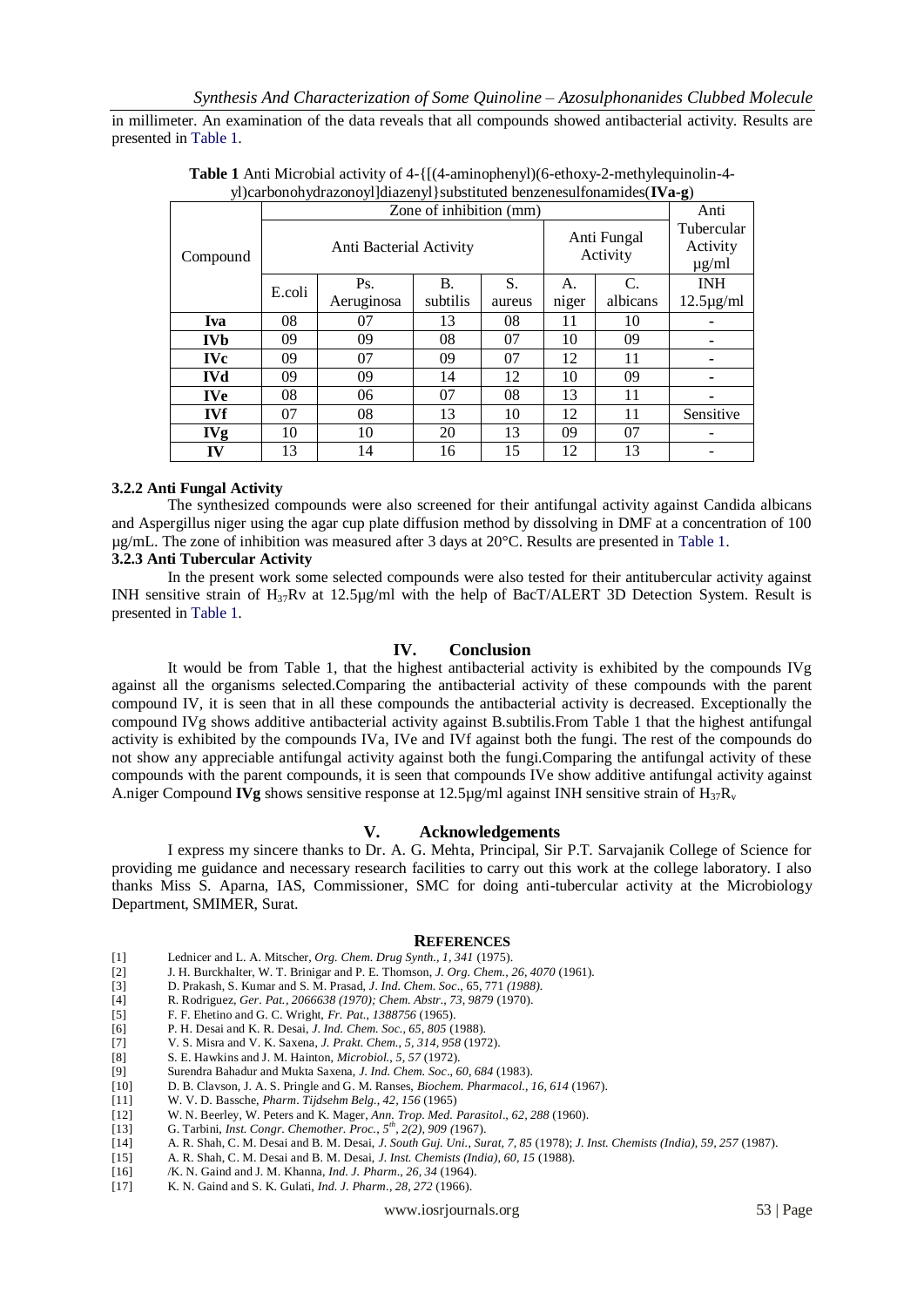in millimeter. An examination of the data reveals that all compounds showed antibacterial activity. Results are presented in Table 1.

| J - <i>j</i> - --<br>$\mathbf{z}$ |            |                         |            |          |        |                         |          |                                      |
|-----------------------------------|------------|-------------------------|------------|----------|--------|-------------------------|----------|--------------------------------------|
|                                   | Compound   | Zone of inhibition (mm) |            |          |        |                         |          | Anti                                 |
|                                   |            | Anti Bacterial Activity |            |          |        | Anti Fungal<br>Activity |          | Tubercular<br>Activity<br>$\mu$ g/ml |
|                                   |            | E.coli                  | Ps.        | В.       | S.     | А.                      | C.       | <b>INH</b>                           |
|                                   |            |                         | Aeruginosa | subtilis | aureus | niger                   | albicans | $12.5 \mu g/ml$                      |
|                                   | <b>Iva</b> | 08                      | 07         | 13       | 08     | 11                      | 10       |                                      |
|                                   | <b>IVb</b> | 09                      | 09         | 08       | 07     | 10                      | 09       |                                      |
|                                   | <b>IVc</b> | 09                      | 07         | 09       | 07     | 12                      | 11       |                                      |
|                                   | <b>IVd</b> | 09                      | 09         | 14       | 12     | 10                      | 09       |                                      |
|                                   | <b>IVe</b> | 08                      | 06         | 07       | 08     | 13                      | 11       |                                      |
|                                   | <b>IVf</b> | 07                      | 08         | 13       | 10     | 12                      | 11       | Sensitive                            |
|                                   | <b>IVg</b> | 10                      | 10         | 20       | 13     | 09                      | 07       |                                      |
|                                   | IV         | 13                      | 14         | 16       | 15     | 12                      | 13       |                                      |

**Table 1** Anti Microbial activity of 4-{[(4-aminophenyl)(6-ethoxy-2-methylequinolin-4 yl)carbonohydrazonoyl]diazenyl}substituted benzenesulfonamides(**IVa-g**)

### **3.2.2 Anti Fungal Activity**

The synthesized compounds were also screened for their antifungal activity against Candida albicans and Aspergillus niger using the agar cup plate diffusion method by dissolving in DMF at a concentration of 100 µg/mL. The zone of inhibition was measured after 3 days at 20°C. Results are presented in Table 1.

## **3.2.3 Anti Tubercular Activity**

In the present work some selected compounds were also tested for their antitubercular activity against INH sensitive strain of  $H_{37}Rv$  at 12.5µg/ml with the help of BacT/ALERT 3D Detection System. Result is presented in Table 1.

#### **IV. Conclusion**

It would be from Table 1, that the highest antibacterial activity is exhibited by the compounds IVg against all the organisms selected.Comparing the antibacterial activity of these compounds with the parent compound IV, it is seen that in all these compounds the antibacterial activity is decreased. Exceptionally the compound IVg shows additive antibacterial activity against B.subtilis.From Table 1 that the highest antifungal activity is exhibited by the compounds IVa, IVe and IVf against both the fungi. The rest of the compounds do not show any appreciable antifungal activity against both the fungi.Comparing the antifungal activity of these compounds with the parent compounds, it is seen that compounds IVe show additive antifungal activity against A.niger Compound **IVg** shows sensitive response at 12.5 $\mu$ g/ml against INH sensitive strain of  $H_{37}R_v$ 

#### **V. Acknowledgements**

I express my sincere thanks to Dr. A. G. Mehta, Principal, Sir P.T. Sarvajanik College of Science for providing me guidance and necessary research facilities to carry out this work at the college laboratory. I also thanks Miss S. Aparna, IAS, Commissioner, SMC for doing anti-tubercular activity at the Microbiology Department, SMIMER, Surat.

#### **REFERENCES**

- [1] Lednicer and L. A. Mitscher, *Org. Chem. Drug Synth., 1, 341* (1975).
- [2] J. H. Burckhalter, W. T. Brinigar and P. E. Thomson, *J. Org. Chem., 26, 4070* (1961)*.*
- [3] D. Prakash, S. Kumar and S. M. Prasad, *J. Ind. Chem. Soc*., 65, 771 *(1988).*
- [4] R. Rodriguez, *Ger. Pat., 2066638 (1970); Chem. Abstr., 73, 9879* (1970).
- [5] F. F. Ehetino and G. C. Wright, *Fr. Pat.*, *1388756* (1965).
- [6] P. H. Desai and K. R. Desai, *J. Ind. Chem. Soc., 65, 805* (1988).
- [7] V. S. Misra and V. K. Saxena, *J. Prakt. Chem.*, *5, 314, 958* (1972).
- [8] S. E. Hawkins and J. M. Hainton, *Microbiol.*, *5, 57* (1972).
- [9] Surendra Bahadur and Mukta Saxena, *J. Ind. Chem. Soc*., *60, 684* (1983).
- [10] D. B. Clavson, J. A. S. Pringle and G. M. Ranses, *Biochem. Pharmacol.*, *16, 614* (1967).
- [11] W. V. D. Bassche, *Pharm*. *Tijdsehm Belg.*, *42, 156* (1965)
- [12] W. N. Beerley, W. Peters and K. Mager, *Ann. Trop. Med. Parasitol*.*, 62, 288* (1960).
- [13] G. Tarbini, *Inst. Congr. Chemother. Proc.*, *5 th, 2(2), 909 (*1967).
- [14] A. R. Shah, C. M. Desai and B. M. Desai, *J. South Guj. Uni.*, *Surat, 7, 85* (1978); *J. Inst. Chemists (India), 59, 257* (1987).
- [15] A. R. Shah, C. M. Desai and B. M. Desai, *J. Inst. Chemists (India), 60, 15* (1988).
- [16] /K. N. Gaind and J. M. Khanna, *Ind. J. Pharm*., *26, 34* (1964).
- [17] K. N. Gaind and S. K. Gulati, *Ind. J. Pharm*., *28, 272* (1966).

www.iosrjournals.org 53 | Page